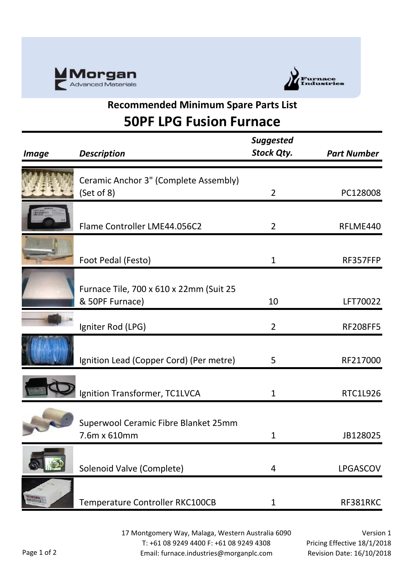



## **Recommended Minimum Spare Parts List 50PF LPG Fusion Furnace**

| <i>Image</i>               | <b>Description</b>                                         | <b>Suggested</b><br><b>Stock Qty.</b> | <b>Part Number</b> |
|----------------------------|------------------------------------------------------------|---------------------------------------|--------------------|
|                            | Ceramic Anchor 3" (Complete Assembly)<br>(Set of 8)        | $\overline{2}$                        | PC128008           |
|                            | Flame Controller LME44.056C2                               | $\overline{2}$                        | RFLME440           |
|                            | Foot Pedal (Festo)                                         | 1                                     | RF357FFP           |
|                            | Furnace Tile, 700 x 610 x 22mm (Suit 25<br>& 50PF Furnace) | 10                                    | LFT70022           |
|                            | Igniter Rod (LPG)                                          | $\overline{2}$                        | <b>RF208FF5</b>    |
|                            | Ignition Lead (Copper Cord) (Per metre)                    | 5                                     | RF217000           |
|                            | Ignition Transformer, TC1LVCA                              | 1                                     | <b>RTC1L926</b>    |
|                            | Superwool Ceramic Fibre Blanket 25mm<br>7.6m x 610mm       | 1                                     | JB128025           |
|                            | Solenoid Valve (Complete)                                  | 4                                     | LPGASCOV           |
| <b>Mintern</b><br>Talafara | Temperature Controller RKC100CB                            | 1                                     | RF381RKC           |

17 Montgomery Way, Malaga, Western Australia 6090 T: +61 08 9249 4400 F: +61 08 9249 4308 Email: furnace.industries@morganplc.com

Version 1 Pricing Effective 18/1/2018 Revision Date: 16/10/2018